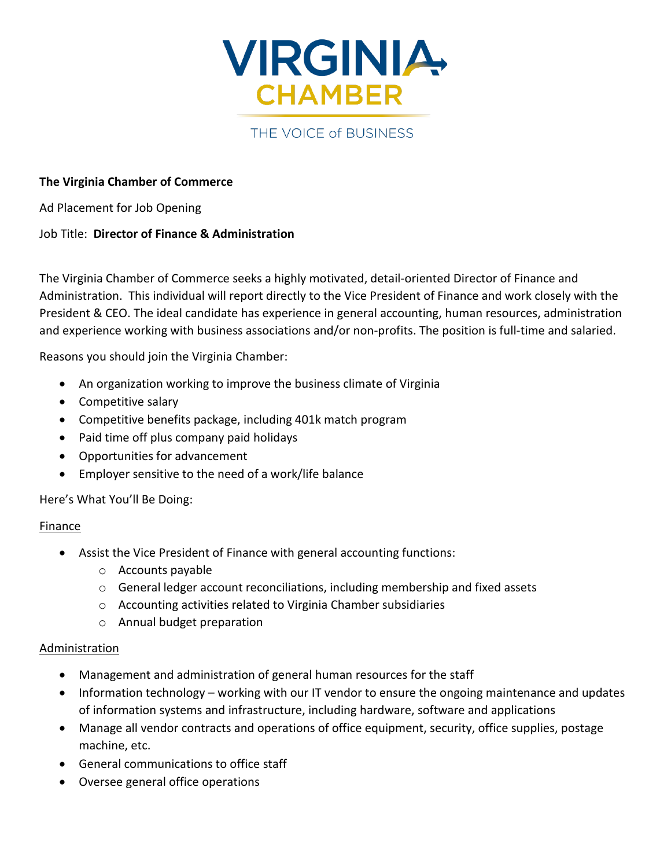

# THE VOICE of BUSINESS

### **The Virginia Chamber of Commerce**

Ad Placement for Job Opening

### Job Title: **Director of Finance & Administration**

The Virginia Chamber of Commerce seeks a highly motivated, detail-oriented Director of Finance and Administration. This individual will report directly to the Vice President of Finance and work closely with the President & CEO. The ideal candidate has experience in general accounting, human resources, administration and experience working with business associations and/or non-profits. The position is full-time and salaried.

Reasons you should join the Virginia Chamber:

- An organization working to improve the business climate of Virginia
- Competitive salary
- Competitive benefits package, including 401k match program
- Paid time off plus company paid holidays
- Opportunities for advancement
- Employer sensitive to the need of a work/life balance

# Here's What You'll Be Doing:

#### Finance

- Assist the Vice President of Finance with general accounting functions:
	- o Accounts payable
	- $\circ$  General ledger account reconciliations, including membership and fixed assets
	- o Accounting activities related to Virginia Chamber subsidiaries
	- o Annual budget preparation

# Administration

- Management and administration of general human resources for the staff
- Information technology working with our IT vendor to ensure the ongoing maintenance and updates of information systems and infrastructure, including hardware, software and applications
- Manage all vendor contracts and operations of office equipment, security, office supplies, postage machine, etc.
- General communications to office staff
- Oversee general office operations